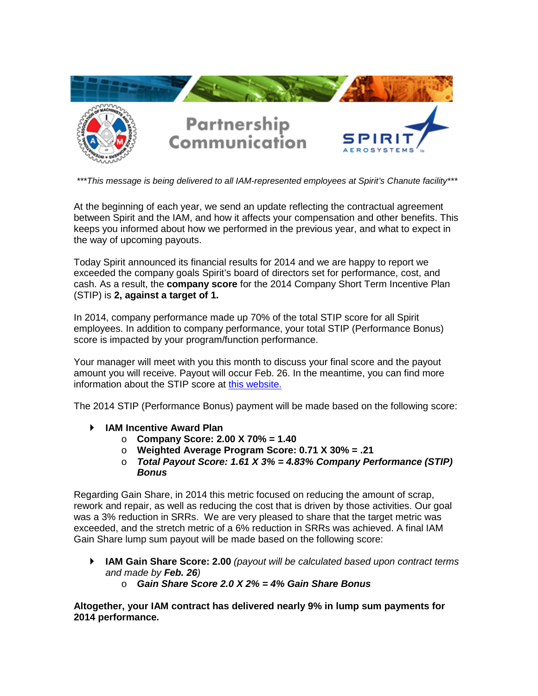

*\*\*\*This message is being delivered to all IAM-represented employees at Spirit's Chanute facility\*\*\**

At the beginning of each year, we send an update reflecting the contractual agreement between Spirit and the IAM, and how it affects your compensation and other benefits. This keeps you informed about how we performed in the previous year, and what to expect in the way of upcoming payouts.

Today Spirit announced its financial results for 2014 and we are happy to report we exceeded the company goals Spirit's board of directors set for performance, cost, and cash. As a result, the **company score** for the 2014 Company Short Term Incentive Plan (STIP) is **2, against a target of 1.**

In 2014, company performance made up 70% of the total STIP score for all Spirit employees. In addition to company performance, your total STIP (Performance Bonus) score is impacted by your program/function performance.

Your manager will meet with you this month to discuss your final score and the payout amount you will receive. Payout will occur Feb. 26. In the meantime, you can find more information about the STIP score at [this website.](https://inside.spiritaero.com/stip)

The 2014 STIP (Performance Bonus) payment will be made based on the following score:

- **IAM Incentive Award Plan**
	- o **Company Score: 2.00 X 70% = 1.40**
	- o **Weighted Average Program Score: 0.71 X 30% = .21**
	- o *Total Payout Score: 1.61 X 3% = 4.83% Company Performance (STIP) Bonus*

Regarding Gain Share, in 2014 this metric focused on reducing the amount of scrap, rework and repair, as well as reducing the cost that is driven by those activities. Our goal was a 3% reduction in SRRs. We are very pleased to share that the target metric was exceeded, and the stretch metric of a 6% reduction in SRRs was achieved. A final IAM Gain Share lump sum payout will be made based on the following score:

- **IAM Gain Share Score: 2.00** *(payout will be calculated based upon contract terms and made by Feb. 26)*
	- o *Gain Share Score 2.0 X 2% = 4% Gain Share Bonus*

**Altogether, your IAM contract has delivered nearly 9% in lump sum payments for 2014 performance.**